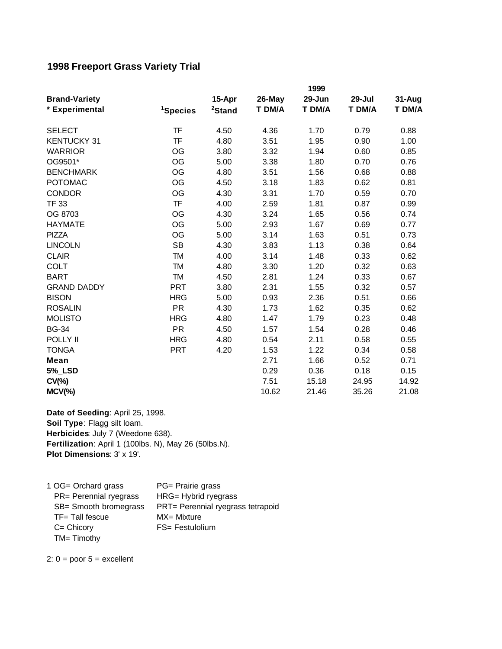## **1998 Freeport Grass Variety Trial**

|                      | 1999                 |                    |        |        |        |        |
|----------------------|----------------------|--------------------|--------|--------|--------|--------|
| <b>Brand-Variety</b> |                      | 15-Apr             | 26-May | 29-Jun | 29-Jul | 31-Aug |
| * Experimental       | <sup>1</sup> Species | <sup>2</sup> Stand | T DM/A | T DM/A | T DM/A | T DM/A |
| <b>SELECT</b>        | TF                   | 4.50               | 4.36   | 1.70   | 0.79   | 0.88   |
| <b>KENTUCKY 31</b>   | TF                   | 4.80               | 3.51   | 1.95   | 0.90   | 1.00   |
| <b>WARRIOR</b>       | OG                   | 3.80               | 3.32   | 1.94   | 0.60   | 0.85   |
| OG9501*              | OG                   | 5.00               | 3.38   | 1.80   | 0.70   | 0.76   |
| <b>BENCHMARK</b>     | OG                   | 4.80               | 3.51   | 1.56   | 0.68   | 0.88   |
| <b>POTOMAC</b>       | OG                   | 4.50               | 3.18   | 1.83   | 0.62   | 0.81   |
| <b>CONDOR</b>        | OG                   | 4.30               | 3.31   | 1.70   | 0.59   | 0.70   |
| <b>TF 33</b>         | <b>TF</b>            | 4.00               | 2.59   | 1.81   | 0.87   | 0.99   |
| OG 8703              | OG                   | 4.30               | 3.24   | 1.65   | 0.56   | 0.74   |
| <b>HAYMATE</b>       | <b>OG</b>            | 5.00               | 2.93   | 1.67   | 0.69   | 0.77   |
| <b>PIZZA</b>         | OG                   | 5.00               | 3.14   | 1.63   | 0.51   | 0.73   |
| <b>LINCOLN</b>       | <b>SB</b>            | 4.30               | 3.83   | 1.13   | 0.38   | 0.64   |
| <b>CLAIR</b>         | <b>TM</b>            | 4.00               | 3.14   | 1.48   | 0.33   | 0.62   |
| <b>COLT</b>          | <b>TM</b>            | 4.80               | 3.30   | 1.20   | 0.32   | 0.63   |
| <b>BART</b>          | <b>TM</b>            | 4.50               | 2.81   | 1.24   | 0.33   | 0.67   |
| <b>GRAND DADDY</b>   | <b>PRT</b>           | 3.80               | 2.31   | 1.55   | 0.32   | 0.57   |
| <b>BISON</b>         | <b>HRG</b>           | 5.00               | 0.93   | 2.36   | 0.51   | 0.66   |
| <b>ROSALIN</b>       | <b>PR</b>            | 4.30               | 1.73   | 1.62   | 0.35   | 0.62   |
| <b>MOLISTO</b>       | <b>HRG</b>           | 4.80               | 1.47   | 1.79   | 0.23   | 0.48   |
| <b>BG-34</b>         | <b>PR</b>            | 4.50               | 1.57   | 1.54   | 0.28   | 0.46   |
| POLLY II             | <b>HRG</b>           | 4.80               | 0.54   | 2.11   | 0.58   | 0.55   |
| <b>TONGA</b>         | <b>PRT</b>           | 4.20               | 1.53   | 1.22   | 0.34   | 0.58   |
| Mean                 |                      |                    | 2.71   | 1.66   | 0.52   | 0.71   |
| <b>5%_LSD</b>        |                      |                    | 0.29   | 0.36   | 0.18   | 0.15   |
| $CV(\% )$            |                      |                    | 7.51   | 15.18  | 24.95  | 14.92  |
| $MCV(\%)$            |                      |                    | 10.62  | 21.46  | 35.26  | 21.08  |

**Fertilization**: April 1 (100lbs. N), May 26 (50lbs.N). **Plot Dimensions**: 3' x 19'. **Date of Seeding**: April 25, 1998. **Soil Type**: Flagg silt loam. **Herbicides**: July 7 (Weedone 638).

1 OG= Orchard grass PG= Prairie grass PR= Perennial ryegrass HRG= Hybrid ryegrass SB= Smooth bromegrass PRT= Perennial ryegrass tetrapoid TF= Tall fescue MX= Mixture C= Chicory FS= Festulolium TM= Timothy

2:  $0 =$  poor  $5 =$  excellent